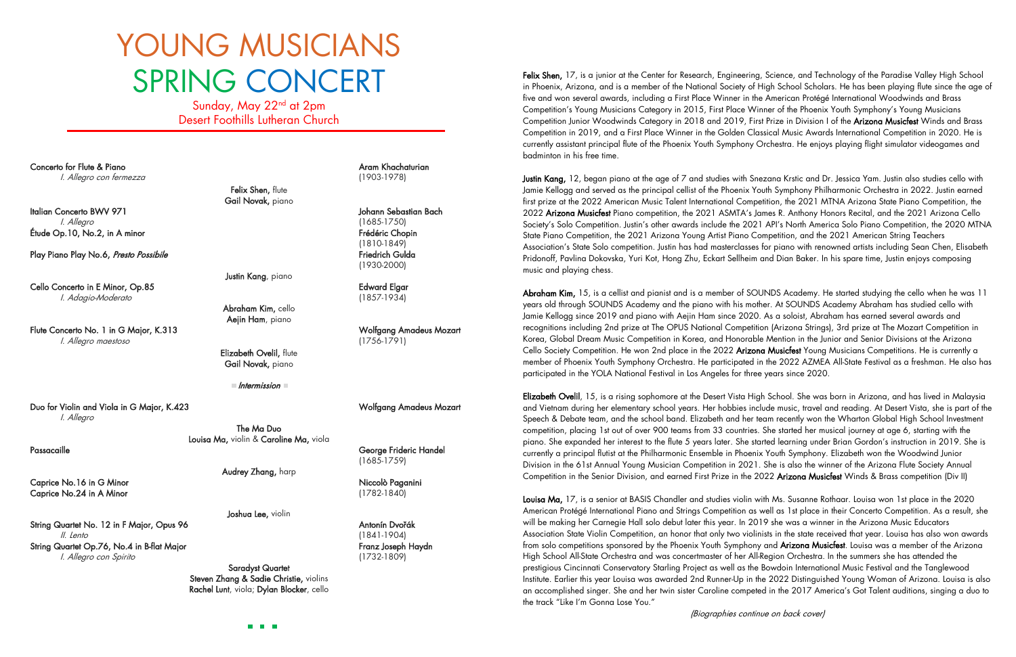Felix Shen, 17, is a junior at the Center for Research, Engineering, Science, and Technology of the Paradise Valley High School in Phoenix, Arizona, and is a member of the National Society of High School Scholars. He has been playing flute since the age of five and won several awards, including a First Place Winner in the American Protégé International Woodwinds and Brass Competition's Young Musicians Category in 2015, First Place Winner of the Phoenix Youth Symphony's Young Musicians Competition Junior Woodwinds Category in 2018 and 2019, First Prize in Division I of the Arizona Musicfest Winds and Brass Competition in 2019, and a First Place Winner in the Golden Classical Music Awards International Competition in 2020. He is currently assistant principal flute of the Phoenix Youth Symphony Orchestra. He enjoys playing flight simulator videogames and badminton in his free time.

Justin Kang, 12, began piano at the age of 7 and studies with Snezana Krstic and Dr. Jessica Yam. Justin also studies cello with Jamie Kellogg and served as the principal cellist of the Phoenix Youth Symphony Philharmonic Orchestra in 2022. Justin earned first prize at the 2022 American Music Talent International Competition, the 2021 MTNA Arizona State Piano Competition, the 2022 Arizona Musicfest Piano competition, the 2021 ASMTA's James R. Anthony Honors Recital, and the 2021 Arizona Cello Society's Solo Competition. Justin's other awards include the 2021 API's North America Solo Piano Competition, the 2020 MTNA State Piano Competition, the 2021 Arizona Young Artist Piano Competition, and the 2021 American String Teachers Association's State Solo competition. Justin has had masterclasses for piano with renowned artists including Sean Chen, Elisabeth Pridonoff, Pavlina Dokovska, Yuri Kot, Hong Zhu, Eckart Sellheim and Dian Baker. In his spare time, Justin enjoys composing music and playing chess.

Abraham Kim, 15, is a cellist and pianist and is a member of SOUNDS Academy. He started studying the cello when he was 11 years old through SOUNDS Academy and the piano with his mother. At SOUNDS Academy Abraham has studied cello with Jamie Kellogg since 2019 and piano with Aejin Ham since 2020. As a soloist, Abraham has earned several awards and recognitions including 2nd prize at The OPUS National Competition (Arizona Strings), 3rd prize at The Mozart Competition in Korea, Global Dream Music Competition in Korea, and Honorable Mention in the Junior and Senior Divisions at the Arizona Cello Society Competition. He won 2nd place in the 2022 Arizona Musicfest Young Musicians Competitions. He is currently a member of Phoenix Youth Symphony Orchestra. He participated in the 2022 AZMEA All-State Festival as a freshman. He also has participated in the YOLA National Festival in Los Angeles for three years since 2020.

Sunday, May 22<sup>nd</sup> at 2pm Desert Foothills Lutheran Church

I

Concerto for Flute & Piano Aram Aram Aram Khachaturian Aram Khachaturian Aram Khachaturian I. Allegro con fermezza (1903-1978)

Felix Shen, flute Gail Novak, piano

Italian Concerto BWV 971 Johann Sebastian Bach I. Allegro (1685-1750) Étude Op.10, No.2, in A minor et al. et al. et al. et al. et al. et al. et al. et al. et al. et al. et al. et a

Justin Kang, piano

Play Piano Play No.6, Presto Possibile Friedrich Gulda Friedrich Gulda

Cello Concerto in E Minor, Op.85 Edward Elgar I. Adagio-Moderato (1857-1934)

Passacaille **Christian Community Community Community** Ceorge Frideric Handel (1685-1759)

Caprice No.16 in G Minor Niccolò Paganini Caprice No.24 in A Minor (1782-1840)

String Quartet No. 12 in F Major, Opus 96 Antonín Dvořák II. Lento (1841-1904) String Quartet Op.76, No.4 in B-flat Major Franz Joseph Haydn Franz Joseph Haydn Elizabeth Ovelil, 15, is a rising sophomore at the Desert Vista High School. She was born in Arizona, and has lived in Malaysia and Vietnam during her elementary school years. Her hobbies include music, travel and reading. At Desert Vista, she is part of the Speech & Debate team, and the school band. Elizabeth and her team recently won the Wharton Global High School Investment competition, placing 1st out of over 900 teams from 33 countries. She started her musical journey at age 6, starting with the piano. She expanded her interest to the flute 5 years later. She started learning under Brian Gordon's instruction in 2019. She is currently a principal flutist at the Philharmonic Ensemble in Phoenix Youth Symphony. Elizabeth won the Woodwind Junior Division in the 61st Annual Young Musician Competition in 2021. She is also the winner of the Arizona Flute Society Annual Competition in the Senior Division, and earned First Prize in the 2022 Arizona Musicfest Winds & Brass competition (Div II)

Louisa Ma, 17, is a senior at BASIS Chandler and studies violin with Ms. Susanne Rothaar. Louisa won 1st place in the 2020 American Protégé International Piano and Strings Competition as well as 1st place in their Concerto Competition. As a result, she will be making her Carnegie Hall solo debut later this year. In 2019 she was a winner in the Arizona Music Educators Association State Violin Competition, an honor that only two violinists in the state received that year. Louisa has also won awards from solo competitions sponsored by the Phoenix Youth Symphony and Arizona Musicfest. Louisa was a member of the Arizona High School All-State Orchestra and was concertmaster of her All-Region Orchestra. In the summers she has attended the prestigious Cincinnati Conservatory Starling Project as well as the Bowdoin International Music Festival and the Tanglewood Institute. Earlier this year Louisa was awarded 2nd Runner-Up in the 2022 Distinguished Young Woman of Arizona. Louisa is also an accomplished singer. She and her twin sister Caroline competed in the 2017 America's Got Talent auditions, singing a duo to the track "Like I'm Gonna Lose You."

## YOUNG MUSICIANS SPRING CONCERT

 (1810-1849) (1930-2000)

Abraham Kim, cello Aejin Ham, piano

Flute Concerto No. 1 in G Major, K.313 Wolfgang Amadeus Mozart I. Allegro maestoso (1756-1791)

Elizabeth Ovelil, flute Gail Novak, piano

Intermission

Duo for Violin and Viola in G Major, K.423 Wolfgang Amadeus Mozart I. Allegro

> The Ma Duo Louisa Ma, violin & Caroline Ma, viola

> > Audrey Zhang, harp

Joshua Lee, violin

I. Allegro con Spirito (1732-1809)

Saradyst Quartet Steven Zhang & Sadie Christie, violins Rachel Lunt, viola; Dylan Blocker, cello